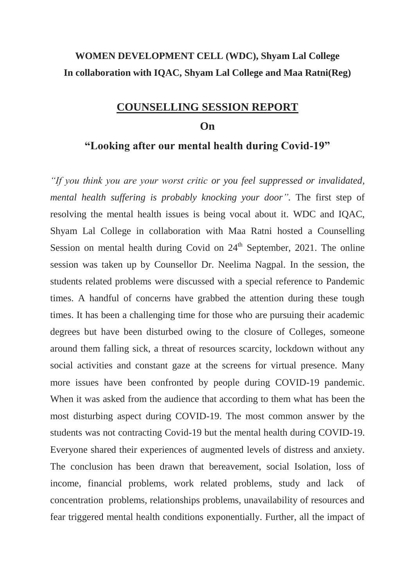### **WOMEN DEVELOPMENT CELL (WDC), Shyam Lal College In collaboration with IQAC, Shyam Lal College and Maa Ratni(Reg)**

### **COUNSELLING SESSION REPORT**

#### **On**

### **"Looking after our mental health during Covid-19"**

*"If you think you are your worst critic or you feel suppressed or invalidated, mental health suffering is probably knocking your door".* The first step of resolving the mental health issues is being vocal about it. WDC and IQAC, Shyam Lal College in collaboration with Maa Ratni hosted a Counselling Session on mental health during Covid on  $24<sup>th</sup>$  September, 2021. The online session was taken up by Counsellor Dr. Neelima Nagpal. In the session, the students related problems were discussed with a special reference to Pandemic times. A handful of concerns have grabbed the attention during these tough times. It has been a challenging time for those who are pursuing their academic degrees but have been disturbed owing to the closure of Colleges, someone around them falling sick, a threat of resources scarcity, lockdown without any social activities and constant gaze at the screens for virtual presence. Many more issues have been confronted by people during COVID-19 pandemic. When it was asked from the audience that according to them what has been the most disturbing aspect during COVID-19. The most common answer by the students was not contracting Covid-19 but the mental health during COVID-19. Everyone shared their experiences of augmented levels of distress and anxiety. The conclusion has been drawn that bereavement, social Isolation, loss of income, financial problems, work related problems, study and lack of concentration problems, relationships problems, unavailability of resources and fear triggered mental health conditions exponentially. Further, all the impact of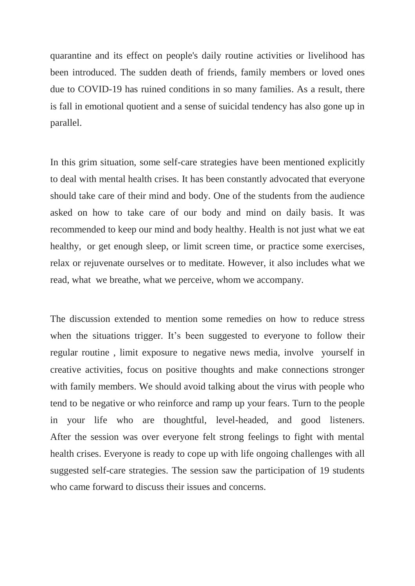quarantine and its effect on people's daily routine activities or livelihood has been introduced. The sudden death of friends, family members or loved ones due to COVID-19 has ruined conditions in so many families. As a result, there is fall in emotional quotient and a sense of suicidal tendency has also gone up in parallel.

In this grim situation, some self-care strategies have been mentioned explicitly to deal with mental health crises. It has been constantly advocated that everyone should take care of their mind and body. One of the students from the audience asked on how to take care of our body and mind on daily basis. It was recommended to keep our mind and body healthy. Health is not just what we eat healthy, or get enough sleep, or limit screen time, or practice some exercises, relax or rejuvenate ourselves or to meditate. However, it also includes what we read, what we breathe, what we perceive, whom we accompany.

The discussion extended to mention some remedies on how to reduce stress when the situations trigger. It's been suggested to everyone to follow their regular routine , limit exposure to negative news media, involve yourself in creative activities, focus on positive thoughts and make connections stronger with family members. We should avoid talking about the virus with people who tend to be negative or who reinforce and ramp up your fears. Turn to the people in your life who are thoughtful, level-headed, and good listeners. After the session was over everyone felt strong feelings to fight with mental health crises. Everyone is ready to cope up with life ongoing challenges with all suggested self-care strategies. The session saw the participation of 19 students who came forward to discuss their issues and concerns.